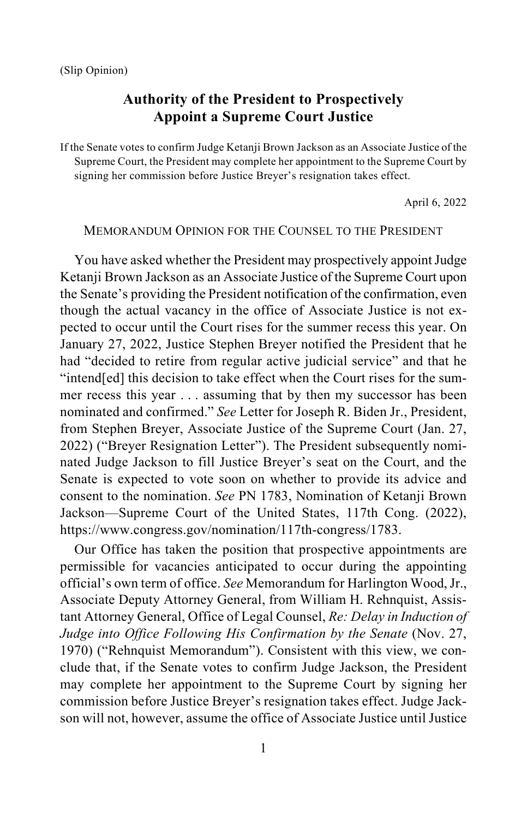# **Authority of the President to Prospectively Appoint a Supreme Court Justice**

If the Senate votes to confirm Judge Ketanji Brown Jackson as an Associate Justice of the Supreme Court, the President may complete her appointment to the Supreme Court by signing her commission before Justice Breyer's resignation takes effect.

April 6, 2022

#### MEMORANDUM OPINION FOR THE COUNSEL TO THE PRESIDENT

You have asked whether the President may prospectively appoint Judge Ketanji Brown Jackson as an Associate Justice of the Supreme Court upon the Senate's providing the President notification of the confirmation, even though the actual vacancy in the office of Associate Justice is not expected to occur until the Court rises for the summer recess this year. On January 27, 2022, Justice Stephen Breyer notified the President that he had "decided to retire from regular active judicial service" and that he "intend[ed] this decision to take effect when the Court rises for the summer recess this year . . . assuming that by then my successor has been nominated and confirmed." *See* Letter for Joseph R. Biden Jr., President, from Stephen Breyer, Associate Justice of the Supreme Court (Jan. 27, 2022) ("Breyer Resignation Letter"). The President subsequently nominated Judge Jackson to fill Justice Breyer's seat on the Court, and the Senate is expected to vote soon on whether to provide its advice and consent to the nomination. *See* PN 1783, Nomination of Ketanji Brown Jackson—Supreme Court of the United States, 117th Cong. (2022), [https://www.congress.gov/nomination/117th-congress/1783.](https://www.congress.gov/%E2%80%8Bnomination/%E2%80%8B117th-congress/%E2%80%8B1783)

Our Office has taken the position that prospective appointments are permissible for vacancies anticipated to occur during the appointing official's own term of office. *See* Memorandum for Harlington Wood, Jr., Associate Deputy Attorney General, from William H. Rehnquist, Assistant Attorney General, Office of Legal Counsel, *Re: Delay in Induction of Judge into Office Following His Confirmation by the Senate* (Nov. 27, 1970) ("Rehnquist Memorandum"). Consistent with this view, we conclude that, if the Senate votes to confirm Judge Jackson, the President may complete her appointment to the Supreme Court by signing her commission before Justice Breyer's resignation takes effect. Judge Jackson will not, however, assume the office of Associate Justice until Justice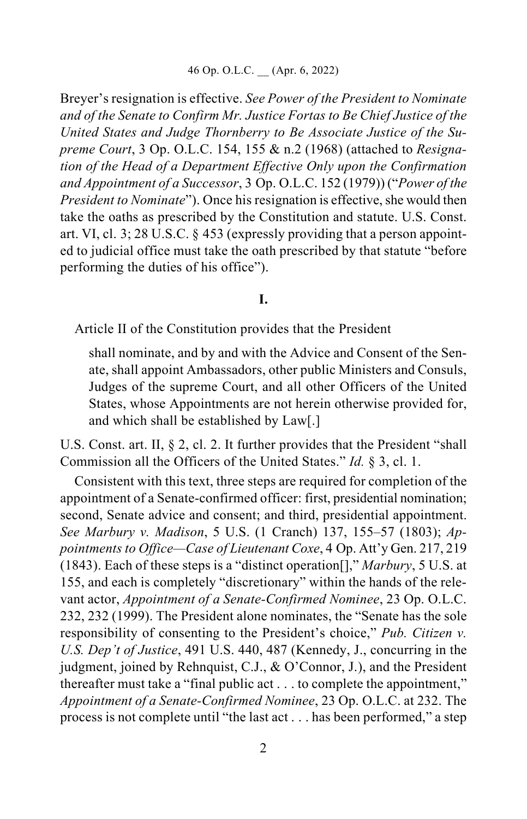Breyer's resignation is effective. *See Power of the President to Nominate and of the Senate to Confirm Mr. Justice Fortas to Be Chief Justice of the United States and Judge Thornberry to Be Associate Justice of the Supreme Court*, 3 Op. O.L.C. 154, 155 & n.2 (1968) (attached to *Resignation of the Head of a Department Effective Only upon the Confirmation and Appointment of a Successor*, 3 Op. O.L.C. 152 (1979)) ("*Power of the President to Nominate*"). Once his resignation is effective, she would then take the oaths as prescribed by the Constitution and statute. U.S. Const. art. VI, cl. 3; 28 U.S.C. § 453 (expressly providing that a person appointed to judicial office must take the oath prescribed by that statute "before performing the duties of his office").

### **I.**

Article II of the Constitution provides that the President

shall nominate, and by and with the Advice and Consent of the Senate, shall appoint Ambassadors, other public Ministers and Consuls, Judges of the supreme Court, and all other Officers of the United States, whose Appointments are not herein otherwise provided for, and which shall be established by Law[.]

U.S. Const. art. II, § 2, cl. 2. It further provides that the President "shall Commission all the Officers of the United States." *Id.* § 3, cl. 1.

Consistent with this text, three steps are required for completion of the appointment of a Senate-confirmed officer: first, presidential nomination; second, Senate advice and consent; and third, presidential appointment. *See Marbury v. Madison*, 5 U.S. (1 Cranch) 137, 155–57 (1803); *Appointments to Office—Case of Lieutenant Coxe*, 4 Op. Att'y Gen. 217, 219 (1843). Each of these steps is a "distinct operation[]," *Marbury*, 5 U.S. at 155, and each is completely "discretionary" within the hands of the relevant actor, *Appointment of a Senate-Confirmed Nominee*, 23 Op. O.L.C. 232, 232 (1999). The President alone nominates, the "Senate has the sole responsibility of consenting to the President's choice," *Pub. Citizen v. U.S. Dep't of Justice*, 491 U.S. 440, 487 (Kennedy, J., concurring in the judgment, joined by Rehnquist, C.J., & O'Connor, J.), and the President thereafter must take a "final public act . . . to complete the appointment," *Appointment of a Senate-Confirmed Nominee*, 23 Op. O.L.C. at 232. The process is not complete until "the last act . . . has been performed," a step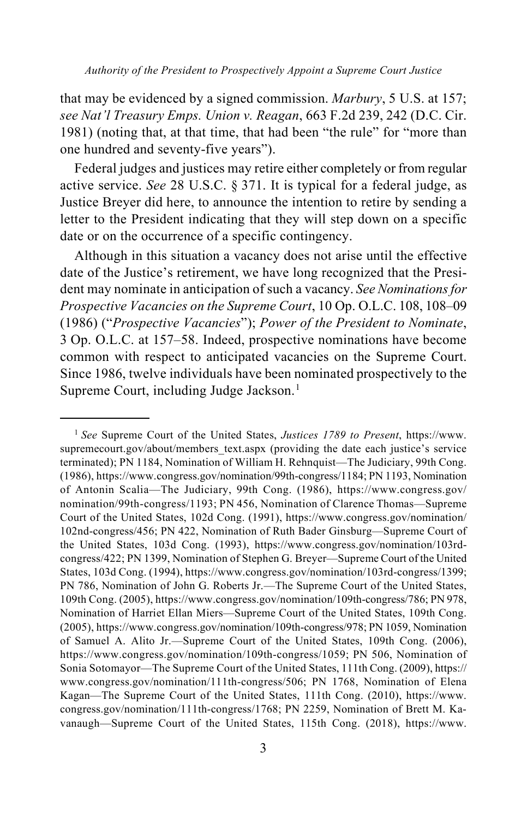*Authority of the President to Prospectively Appoint a Supreme Court Justice*

that may be evidenced by a signed commission. *Marbury*, 5 U.S. at 157; *see Nat'l Treasury Emps. Union v. Reagan*, 663 F.2d 239, 242 (D.C. Cir. 1981) (noting that, at that time, that had been "the rule" for "more than one hundred and seventy-five years").

Federal judges and justices may retire either completely or from regular active service. *See* 28 U.S.C. § 371. It is typical for a federal judge, as Justice Breyer did here, to announce the intention to retire by sending a letter to the President indicating that they will step down on a specific date or on the occurrence of a specific contingency.

Although in this situation a vacancy does not arise until the effective date of the Justice's retirement, we have long recognized that the President may nominate in anticipation of such a vacancy. *See Nominations for Prospective Vacancies on the Supreme Court*, 10 Op. O.L.C. 108, 108–09 (1986) ("*Prospective Vacancies*"); *Power of the President to Nominate*, 3 Op. O.L.C. at 157–58. Indeed, prospective nominations have become common with respect to anticipated vacancies on the Supreme Court. Since 1986, twelve individuals have been nominated prospectively to the Supreme Court, including Judge Jackson.<sup>[1](#page-2-0)</sup>

<span id="page-2-0"></span><sup>1</sup> *See* Supreme Court of the United States, *Justices 1789 to Present*, [https://www.](https://www.supremecourt.gov/%E2%80%8Babout/%E2%80%8Bmembers_%E2%80%8Btext.%E2%80%8Baspx) supremecourt.gov/about/members text.aspx (providing the date each justice's service terminated); PN 1184, Nomination of William H. Rehnquist—The Judiciary, 99th Cong. (1986)[, https://www.congress.gov/nomination/99th-congress/1184;](https://www.congress.gov/%E2%80%8Bnomination/%E2%80%8B99th-congress/%E2%80%8B1184) PN 1193, Nomination of Antonin Scalia—The Judiciary, 99th Cong. (1986), [https://www.congress.gov/](https://www.congress.gov/%E2%80%8Bnomination/%E2%80%8B99th-congress/%E2%80%8B1193) [nomination/99th-congress/1193;](https://www.congress.gov/%E2%80%8Bnomination/%E2%80%8B99th-congress/%E2%80%8B1193) PN 456, Nomination of Clarence Thomas—Supreme Court of the United States, 102d Cong. (1991), [https://www.congress.gov/nomination/](https://www.congress.gov/%E2%80%8Bnomination/%E2%80%8B102nd-congress/%E2%80%8B456) [102nd-congress/456;](https://www.congress.gov/%E2%80%8Bnomination/%E2%80%8B102nd-congress/%E2%80%8B456) PN 422, Nomination of Ruth Bader Ginsburg—Supreme Court of the United States, 103d Cong. (1993), [https://www.congress.gov/nomination/103rd](https://www.congress.gov/%E2%80%8Bnomination/103rd-congress/%E2%80%8B422)[congress/422;](https://www.congress.gov/%E2%80%8Bnomination/103rd-congress/%E2%80%8B422) PN 1399, Nomination of Stephen G. Breyer—Supreme Court of the United States, 103d Cong. (1994)[, https://www.congress.gov/nomination/103rd-congress/1399;](https://www.congress.gov/%E2%80%8Bnomination/%E2%80%8B103rd-congress/%E2%80%8B1399) PN 786, Nomination of John G. Roberts Jr.—The Supreme Court of the United States, 109th Cong. (2005)[, https://www.congress.gov/nomination/109th-congress/786;](https://www.congress.gov/%E2%80%8Bnomination/%E2%80%8B109th-congress/%E2%80%8B786) PN 978, Nomination of Harriet Ellan Miers—Supreme Court of the United States, 109th Cong. (2005)[, https://www.congress.gov/nomination/109th-congress/978;](https://www.congress.gov/%E2%80%8Bnomination/%E2%80%8B109th-congress/%E2%80%8B978) PN 1059, Nomination of Samuel A. Alito Jr.—Supreme Court of the United States, 109th Cong. (2006), https://www.congress.gov/nomination/109th-congress/1059; PN 506, Nomination of Sonia Sotomayor—The Supreme Court of the United States, 111th Cong. (2009)[, https://](https://www.congress.gov/%E2%80%8Bnomination/%E2%80%8B111th-congress/%E2%80%8B506) [www.congress.gov/nomination/111th-congress/506;](https://www.congress.gov/%E2%80%8Bnomination/%E2%80%8B111th-congress/%E2%80%8B506) PN 1768, Nomination of Elena Kagan—The Supreme Court of the United States, 111th Cong. (2010), [https://www.](https://www.congress.gov/%E2%80%8Bnomination/%E2%80%8B111th-congress/%E2%80%8B1768) [congress.gov/nomination/111th-congress/1768;](https://www.congress.gov/%E2%80%8Bnomination/%E2%80%8B111th-congress/%E2%80%8B1768) PN 2259, Nomination of Brett M. Kavanaugh—Supreme Court of the United States, 115th Cong. (2018), [https://www.](https://www.congress.gov/%E2%80%8Bnomination/%E2%80%8B115th-congress/%E2%80%8B2259)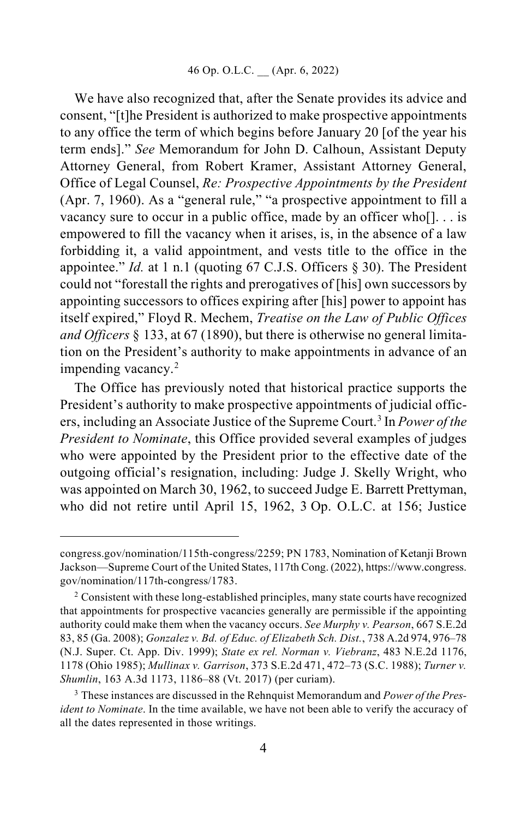We have also recognized that, after the Senate provides its advice and consent, "[t]he President is authorized to make prospective appointments to any office the term of which begins before January 20 [of the year his term ends]." *See* Memorandum for John D. Calhoun, Assistant Deputy Attorney General, from Robert Kramer, Assistant Attorney General, Office of Legal Counsel, *Re: Prospective Appointments by the President*  (Apr. 7, 1960). As a "general rule," "a prospective appointment to fill a vacancy sure to occur in a public office, made by an officer who[]. . . is empowered to fill the vacancy when it arises, is, in the absence of a law forbidding it, a valid appointment, and vests title to the office in the appointee." *Id.* at 1 n.1 (quoting 67 C.J.S. Officers § 30). The President could not "forestall the rights and prerogatives of [his] own successors by appointing successors to offices expiring after [his] power to appoint has itself expired," Floyd R. Mechem, *Treatise on the Law of Public Offices and Officers* § 133, at 67 (1890), but there is otherwise no general limitation on the President's authority to make appointments in advance of an impending vacancy.[2](#page-3-0)

The Office has previously noted that historical practice supports the President's authority to make prospective appointments of judicial officers, including an Associate Justice of the Supreme Court.[3](#page-3-1) In *Power of the President to Nominate*, this Office provided several examples of judges who were appointed by the President prior to the effective date of the outgoing official's resignation, including: Judge J. Skelly Wright, who was appointed on March 30, 1962, to succeed Judge E. Barrett Prettyman, who did not retire until April 15, 1962, 3 Op. O.L.C. at 156; Justice

[congress.gov/nomination/115th-congress/2259;](https://www.congress.gov/%E2%80%8Bnomination/%E2%80%8B115th-congress/%E2%80%8B2259) PN 1783, Nomination of Ketanji Brown Jackson—Supreme Court of the United States, 117th Cong. (2022)[, https://www.congress.](https://www.congress.gov/%E2%80%8Bnomination/%E2%80%8B117th-congress/%E2%80%8B1783) [gov/nomination/117th-congress/1783.](https://www.congress.gov/%E2%80%8Bnomination/%E2%80%8B117th-congress/%E2%80%8B1783)

<span id="page-3-0"></span><sup>&</sup>lt;sup>2</sup> Consistent with these long-established principles, many state courts have recognized that appointments for prospective vacancies generally are permissible if the appointing authority could make them when the vacancy occurs. *See Murphy v. Pearson*, 667 S.E.2d 83, 85 (Ga. 2008); *Gonzalez v. Bd. of Educ. of Elizabeth Sch. Dist.*, 738 A.2d 974, 976–78 (N.J. Super. Ct. App. Div. 1999); *State ex rel. Norman v. Viebranz*, 483 N.E.2d 1176, 1178 (Ohio 1985); *Mullinax v. Garrison*, 373 S.E.2d 471, 472–73 (S.C. 1988); *Turner v. Shumlin*, 163 A.3d 1173, 1186–88 (Vt. 2017) (per curiam).

<span id="page-3-1"></span><sup>3</sup> These instances are discussed in the Rehnquist Memorandum and *Power of the President to Nominate*. In the time available, we have not been able to verify the accuracy of all the dates represented in those writings.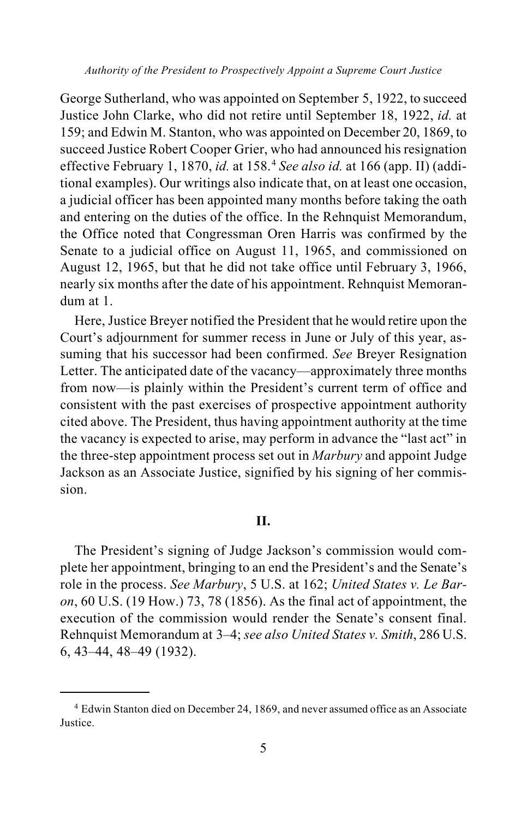George Sutherland, who was appointed on September 5, 1922, to succeed Justice John Clarke, who did not retire until September 18, 1922, *id.* at 159; and Edwin M. Stanton, who was appointed on December 20, 1869, to succeed Justice Robert Cooper Grier, who had announced his resignation effective February 1, 1870, *id.* at 158. [4](#page-4-0) *See also id.* at 166 (app. II) (additional examples). Our writings also indicate that, on at least one occasion, a judicial officer has been appointed many months before taking the oath and entering on the duties of the office. In the Rehnquist Memorandum, the Office noted that Congressman Oren Harris was confirmed by the Senate to a judicial office on August 11, 1965, and commissioned on August 12, 1965, but that he did not take office until February 3, 1966, nearly six months after the date of his appointment. Rehnquist Memorandum at 1.

Here, Justice Breyer notified the President that he would retire upon the Court's adjournment for summer recess in June or July of this year, assuming that his successor had been confirmed. *See* Breyer Resignation Letter. The anticipated date of the vacancy—approximately three months from now—is plainly within the President's current term of office and consistent with the past exercises of prospective appointment authority cited above. The President, thus having appointment authority at the time the vacancy is expected to arise, may perform in advance the "last act" in the three-step appointment process set out in *Marbury* and appoint Judge Jackson as an Associate Justice, signified by his signing of her commission.

## **II.**

The President's signing of Judge Jackson's commission would complete her appointment, bringing to an end the President's and the Senate's role in the process. *See Marbury*, 5 U.S. at 162; *United States v. Le Baron*, 60 U.S. (19 How.) 73, 78 (1856). As the final act of appointment, the execution of the commission would render the Senate's consent final. Rehnquist Memorandum at 3–4; *see also United States v. Smith*, 286 U.S. 6, 43–44, 48–49 (1932).

<span id="page-4-0"></span><sup>4</sup> Edwin Stanton died on December 24, 1869, and never assumed office as an Associate Justice.